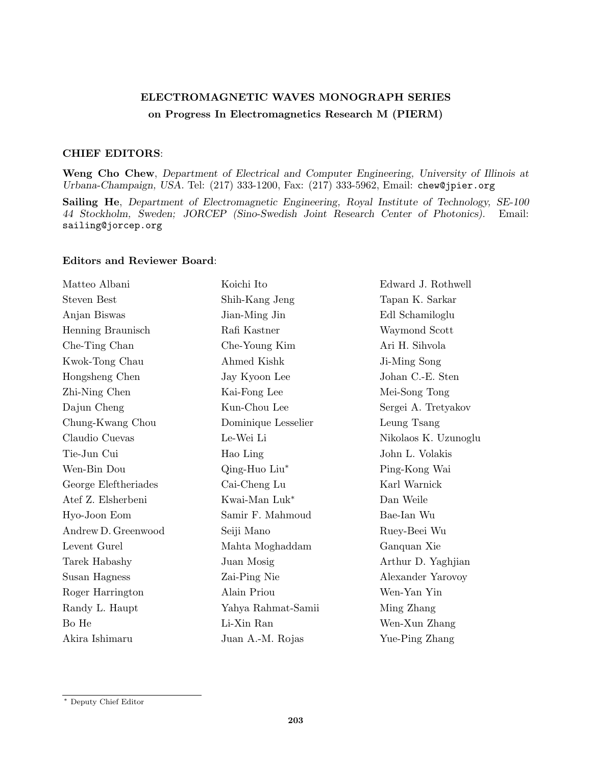## ELECTROMAGNETIC WAVES MONOGRAPH SERIES on Progress In Electromagnetics Research M (PIERM)

## CHIEF EDITORS:

Weng Cho Chew, Department of Electrical and Computer Engineering, University of Illinois at Urbana-Champaign, USA. Tel: (217) 333-1200, Fax: (217) 333-5962, Email: chew@jpier.org

Sailing He, Department of Electromagnetic Engineering, Royal Institute of Technology, SE-100 44 Stockholm, Sweden; JORCEP (Sino-Swedish Joint Research Center of Photonics). Email: sailing@jorcep.org

## Editors and Reviewer Board:

| Matteo Albani        | Koichi Ito          | Edward J. Rothwell   |
|----------------------|---------------------|----------------------|
| <b>Steven Best</b>   | Shih-Kang Jeng      | Tapan K. Sarkar      |
| Anjan Biswas         | Jian-Ming Jin       | Edl Schamiloglu      |
| Henning Braunisch    | Rafi Kastner        | Waymond Scott        |
| Che-Ting Chan        | Che-Young Kim       | Ari H. Sihvola       |
| Kwok-Tong Chau       | Ahmed Kishk         | Ji-Ming Song         |
| Hongsheng Chen       | Jay Kyoon Lee       | Johan C.-E. Sten     |
| Zhi-Ning Chen        | Kai-Fong Lee        | Mei-Song Tong        |
| Dajun Cheng          | Kun-Chou Lee        | Sergei A. Tretyakov  |
| Chung-Kwang Chou     | Dominique Lesselier | Leung Tsang          |
| Claudio Cuevas       | Le-Wei Li           | Nikolaos K. Uzunoglu |
| Tie-Jun Cui          | Hao Ling            | John L. Volakis      |
| Wen-Bin Dou          | Qing-Huo Liu*       | Ping-Kong Wai        |
| George Eleftheriades | Cai-Cheng Lu        | Karl Warnick         |
| Atef Z. Elsherbeni   | Kwai-Man Luk*       | Dan Weile            |
| Hyo-Joon Eom         | Samir F. Mahmoud    | Bae-Ian Wu           |
| Andrew D. Greenwood  | Seiji Mano          | Ruey-Beei Wu         |
| Levent Gurel         | Mahta Moghaddam     | Ganquan Xie          |
| Tarek Habashy        | Juan Mosig          | Arthur D. Yaghjian   |
| Susan Hagness        | Zai-Ping Nie        | Alexander Yarovoy    |
| Roger Harrington     | Alain Priou         | Wen-Yan Yin          |
| Randy L. Haupt       | Yahya Rahmat-Samii  | Ming Zhang           |
| Bo He                | Li-Xin Ran          | Wen-Xun Zhang        |
| Akira Ishimaru       | Juan A.-M. Rojas    | Yue-Ping Zhang       |

<sup>∗</sup> Deputy Chief Editor